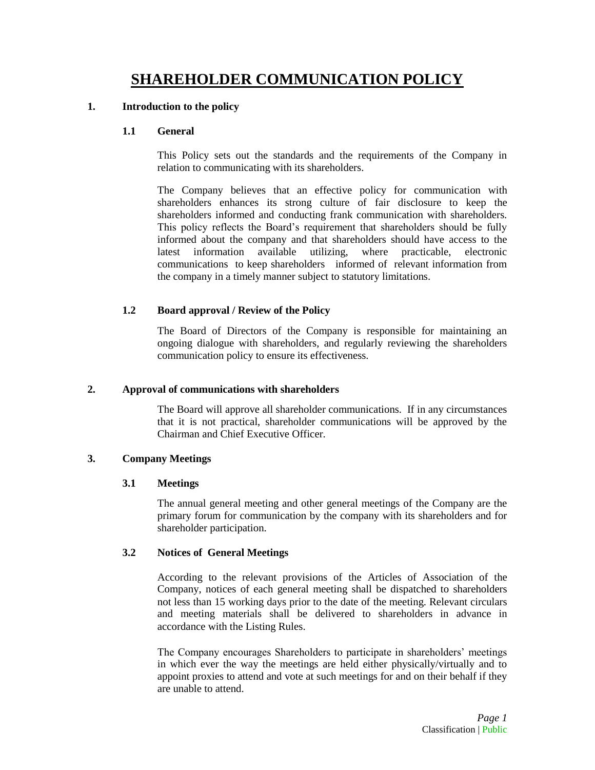# **SHAREHOLDER COMMUNICATION POLICY**

# **1. Introduction to the policy**

# **1.1 General**

This Policy sets out the standards and the requirements of the Company in relation to communicating with its shareholders.

The Company believes that an effective policy for communication with shareholders enhances its strong culture of fair disclosure to keep the shareholders informed and conducting frank communication with shareholders. This policy reflects the Board's requirement that shareholders should be fully informed about the company and that shareholders should have access to the latest information available utilizing, where practicable, electronic communications to keep shareholders informed of relevant information from the company in a timely manner subject to statutory limitations.

# **1.2 Board approval / Review of the Policy**

The Board of Directors of the Company is responsible for maintaining an ongoing dialogue with shareholders, and regularly reviewing the shareholders communication policy to ensure its effectiveness.

# **2. Approval of communications with shareholders**

The Board will approve all shareholder communications. If in any circumstances that it is not practical, shareholder communications will be approved by the Chairman and Chief Executive Officer.

# **3. Company Meetings**

# **3.1 Meetings**

The annual general meeting and other general meetings of the Company are the primary forum for communication by the company with its shareholders and for shareholder participation.

# **3.2 Notices of General Meetings**

According to the relevant provisions of the Articles of Association of the Company, notices of each general meeting shall be dispatched to shareholders not less than 15 working days prior to the date of the meeting. Relevant circulars and meeting materials shall be delivered to shareholders in advance in accordance with the Listing Rules.

The Company encourages Shareholders to participate in shareholders' meetings in which ever the way the meetings are held either physically/virtually and to appoint proxies to attend and vote at such meetings for and on their behalf if they are unable to attend.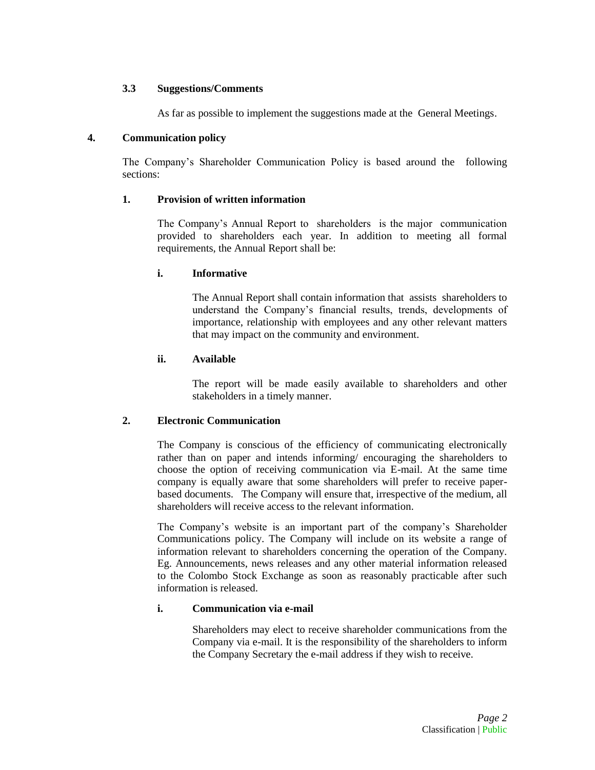# **3.3 Suggestions/Comments**

As far as possible to implement the suggestions made at the General Meetings.

# **4. Communication policy**

The Company's Shareholder Communication Policy is based around the following sections:

# **1. Provision of written information**

The Company's Annual Report to shareholders is the major communication provided to shareholders each year. In addition to meeting all formal requirements, the Annual Report shall be:

# **i. Informative**

The Annual Report shall contain information that assists shareholders to understand the Company's financial results, trends, developments of importance, relationship with employees and any other relevant matters that may impact on the community and environment.

# **ii. Available**

The report will be made easily available to shareholders and other stakeholders in a timely manner.

# **2. Electronic Communication**

The Company is conscious of the efficiency of communicating electronically rather than on paper and intends informing/ encouraging the shareholders to choose the option of receiving communication via E-mail. At the same time company is equally aware that some shareholders will prefer to receive paperbased documents. The Company will ensure that, irrespective of the medium, all shareholders will receive access to the relevant information.

The Company's website is an important part of the company's Shareholder Communications policy. The Company will include on its website a range of information relevant to shareholders concerning the operation of the Company. Eg. Announcements, news releases and any other material information released to the Colombo Stock Exchange as soon as reasonably practicable after such information is released.

# **i. Communication via e-mail**

Shareholders may elect to receive shareholder communications from the Company via e-mail. It is the responsibility of the shareholders to inform the Company Secretary the e-mail address if they wish to receive.